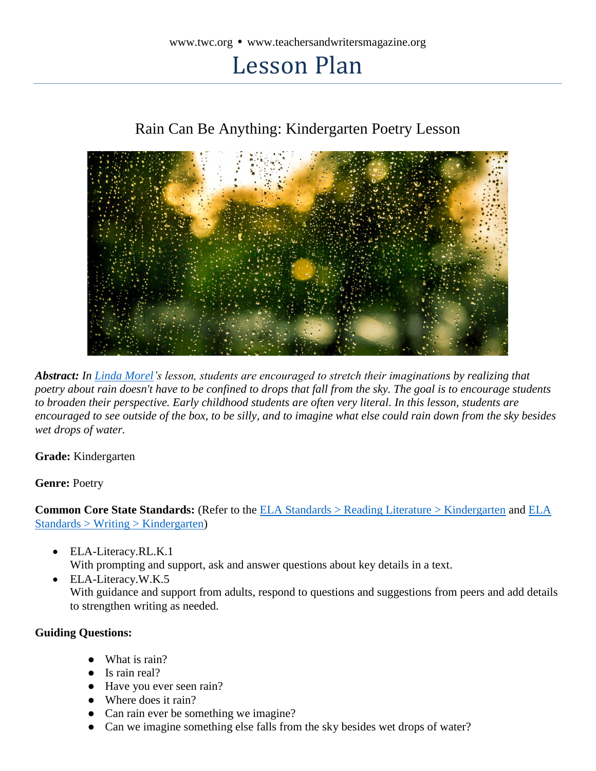# Lesson Plan

## Rain Can Be Anything: Kindergarten Poetry Lesson



*Abstract: In [Linda Morel'](http://www.twc.org/about-us/writers/linda-morel/)s lesson, students are encouraged to stretch their imaginations by realizing that poetry about rain doesn't have to be confined to drops that fall from the sky. The goal is to encourage students to broaden their perspective. Early childhood students are often very literal. In this lesson, students are encouraged to see outside of the box, to be silly, and to imagine what else could rain down from the sky besides wet drops of water.* 

**Grade:** Kindergarten

**Genre:** Poetry

**Common Core State Standards:** (Refer to the **ELA Standards** > Reading Literature > Kindergarten and **ELA**  $Standards > Writing > Kindergarten)$ 

ELA-Literacy.RL.K.1

With prompting and support, ask and answer questions about key details in a text.

 ELA-Literacy.W.K.5 With guidance and support from adults, respond to questions and suggestions from peers and add details to strengthen writing as needed.

#### **Guiding Questions:**

- What is rain?
- Is rain real?
- Have you ever seen rain?
- Where does it rain?
- Can rain ever be something we imagine?
- Can we imagine something else falls from the sky besides wet drops of water?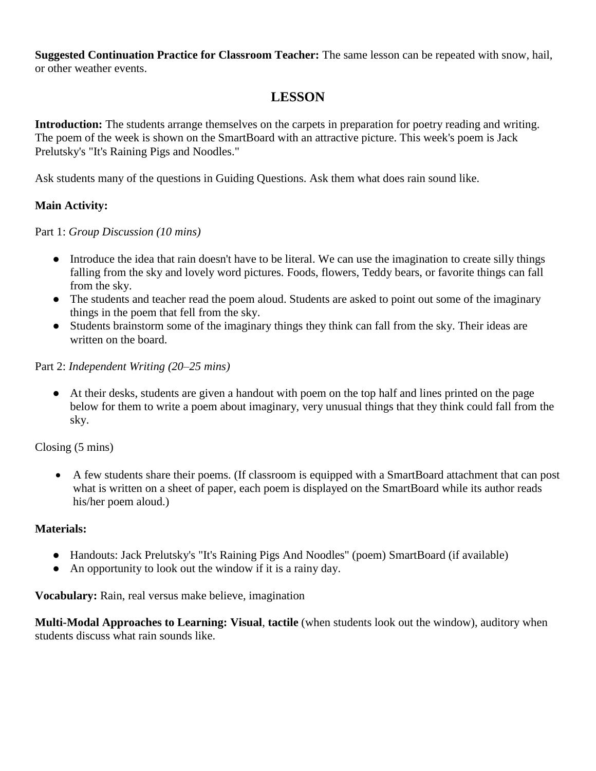**Suggested Continuation Practice for Classroom Teacher:** The same lesson can be repeated with snow, hail, or other weather events.

## **LESSON**

**Introduction:** The students arrange themselves on the carpets in preparation for poetry reading and writing. The poem of the week is shown on the SmartBoard with an attractive picture. This week's poem is Jack Prelutsky's "It's Raining Pigs and Noodles."

Ask students many of the questions in Guiding Questions. Ask them what does rain sound like.

## **Main Activity:**

Part 1: *Group Discussion (10 mins)*

- Introduce the idea that rain doesn't have to be literal. We can use the imagination to create silly things falling from the sky and lovely word pictures. Foods, flowers, Teddy bears, or favorite things can fall from the sky.
- The students and teacher read the poem aloud. Students are asked to point out some of the imaginary things in the poem that fell from the sky.
- Students brainstorm some of the imaginary things they think can fall from the sky. Their ideas are written on the board.

Part 2: *Independent Writing (20–25 mins)* 

● At their desks, students are given a handout with poem on the top half and lines printed on the page below for them to write a poem about imaginary, very unusual things that they think could fall from the sky.

Closing (5 mins)

 A few students share their poems. (If classroom is equipped with a SmartBoard attachment that can post what is written on a sheet of paper, each poem is displayed on the SmartBoard while its author reads his/her poem aloud.)

## **Materials:**

- Handouts: Jack Prelutsky's "It's Raining Pigs And Noodles" (poem) SmartBoard (if available)
- An opportunity to look out the window if it is a rainy day.

**Vocabulary:** Rain, real versus make believe, imagination

**Multi-Modal Approaches to Learning: Visual**, **tactile** (when students look out the window), auditory when students discuss what rain sounds like.